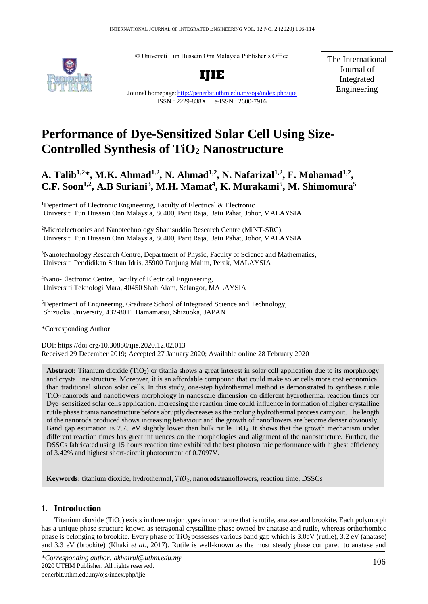© Universiti Tun Hussein Onn Malaysia Publisher's Office



**IJIE**

The International Journal of Integrated Engineering

Journal homepage: <http://penerbit.uthm.edu.my/ojs/index.php/ijie> ISSN : 2229-838X e-ISSN : 2600-7916

# **Performance of Dye-Sensitized Solar Cell Using Size-Controlled Synthesis of TiO<sup>2</sup> Nanostructure**

# **A. Talib1,2\*, M.K. Ahmad1.2, N. Ahmad1,2, N. Nafarizal1,2, F. Mohamad1,2 , C.F. Soon1,2, A.B Suriani<sup>3</sup> , M.H. Mamat<sup>4</sup> , K. Murakami<sup>5</sup> , M. Shimomura<sup>5</sup>**

<sup>1</sup>Department of Electronic Engineering, Faculty of Electrical  $\&$  Electronic Universiti Tun Hussein Onn Malaysia, 86400, Parit Raja, Batu Pahat, Johor, MALAYSIA

<sup>2</sup>Microelectronics and Nanotechnology Shamsuddin Research Centre (MiNT-SRC), Universiti Tun Hussein Onn Malaysia, 86400, Parit Raja, Batu Pahat, Johor, MALAYSIA

<sup>3</sup>Nanotechnology Research Centre, Department of Physic, Faculty of Science and Mathematics, Universiti Pendidikan Sultan Idris, 35900 Tanjung Malim, Perak, MALAYSIA

<sup>4</sup>Nano-Electronic Centre, Faculty of Electrical Engineering, Universiti Teknologi Mara, 40450 Shah Alam, Selangor, MALAYSIA

<sup>5</sup>Department of Engineering, Graduate School of Integrated Science and Technology, Shizuoka University, 432-8011 Hamamatsu, Shizuoka, JAPAN

\*Corresponding Author

DOI: https://doi.org/10.30880/ijie.2020.12.02.013 Received 29 December 2019; Accepted 27 January 2020; Available online 28 February 2020

Abstract: Titanium dioxide (TiO<sub>2</sub>) or titania shows a great interest in solar cell application due to its morphology and crystalline structure. Moreover, it is an affordable compound that could make solar cells more cost economical than traditional silicon solar cells. In this study, one-step hydrothermal method is demonstrated to synthesis rutile TiO2 nanorods and nanoflowers morphology in nanoscale dimension on different hydrothermal reaction times for Dye–sensitized solar cells application. Increasing the reaction time could influence in formation of higher crystalline rutile phase titania nanostructure before abruptly decreases as the prolong hydrothermal process carry out. The length of the nanorods produced shows increasing behaviour and the growth of nanoflowers are become denser obviously. Band gap estimation is 2.75 eV slightly lower than bulk rutile TiO2. It shows that the growth mechanism under different reaction times has great influences on the morphologies and alignment of the nanostructure. Further, the DSSCs fabricated using 15 hours reaction time exhibited the best photovoltaic performance with highest efficiency of 3.42% and highest short-circuit photocurrent of 0.7097V.

**Keywords:** titanium dioxide, hydrothermal,  $TiO<sub>2</sub>$ , nanorods/nanoflowers, reaction time, DSSCs

# **1. Introduction**

Titanium dioxide (TiO2) exists in three major types in our nature that isrutile, anatase and brookite. Each polymorph has a unique phase structure known as tetragonal crystalline phase owned by anatase and rutile, whereas orthorhombic phase is belonging to brookite. Every phase of  $TiO<sub>2</sub>$  possesses various band gap which is 3.0eV (rutile), 3.2 eV (anatase) and 3.3 eV (brookite) (Khaki *et al.*, 2017). Rutile is well-known as the most steady phase compared to anatase and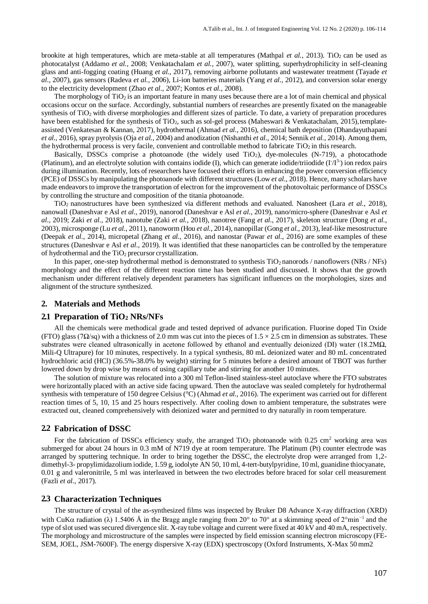brookite at high temperatures, which are meta-stable at all temperatures (Mathpal *et al.*, 2013). TiO<sub>2</sub> can be used as photocatalyst (Addamo *et al.*, 2008; Venkatachalam *et al.*, 2007), water splitting, superhydrophilicity in self-cleaning glass and anti-fogging coating (Huang *et al.*, 2017), removing airborne pollutants and wastewater treatment (Tayade *et al.*, 2007), gas sensors (Radeva *et al.*, 2006), Li-ion batteries materials (Yang *et al.*, 2012), and conversion solar energy to the electricity development (Zhao *et al.*, 2007; Kontos *et al.*, 2008).

The morphology of  $TiO<sub>2</sub>$  is an important feature in many uses because there are a lot of main chemical and physical occasions occur on the surface. Accordingly, substantial numbers of researches are presently fixated on the manageable synthesis of TiO<sub>2</sub> with diverse morphologies and different sizes of particle. To date, a variety of preparation procedures have been established for the synthesis of TiO<sub>2</sub>, such as sol-gel process (Maheswari & Venkatachalam, 2015), templateassisted (Venkatesan & Kannan, 2017), hydrothermal (Ahmad *et al.*, 2016), chemical bath deposition (Dhandayuthapani *et al.*, 2016), spray pyrolysis (Oja *et al.*, 2004) and anodization (Nishanthi *et al.*, 2014; Sennik *et al.*, 2014). Among them, the hydrothermal process is very facile, convenient and controllable method to fabricate  $TiO<sub>2</sub>$  in this research.

Basically, DSSCs comprise a photoanode (the widely used  $TiO<sub>2</sub>$ ), dye-molecules (N-719), a photocathode (Platinum), and an electrolyte solution with contains iodide (I), which can generate iodide/triiodide  $(I/I^3)$  ion redox pairs during illumination. Recently, lots of researchers have focused their efforts in enhancing the power conversion efficiency (PCE) of DSSCs by manipulating the photoanode with different structures (Low *et al.*, 2018). Hence, many scholars have made endeavors to improve the transportation of electron for the improvement of the photovoltaic performance of DSSCs by controlling the structure and composition of the titania photoanode.

TiO2 nanostructures have been synthesized via different methods and evaluated. Nanosheet (Lara *et al.*, 2018), nanowall (Daneshvar e Asl *et al.*, 2019), nanorod (Daneshvar e Asl *et al.*, 2019), nano/micro-sphere (Daneshvar e Asl *et al.*, 2019; Zaki *et al.*, 2018), nanotube (Zaki *et al.*, 2018), nanotree (Fang *et al.*, 2017), skeleton structure (Dong *et al.*, 2003), microsponge (Lu *et al.*, 2011), nanoworm (Hou *et al.*, 2014), nanopillar (Gong *et al.*, 2013), leaf-like mesostructure (Deepak *et al.*, 2014), micropetal (Zhang *et al.*, 2016), and nanostar (Pawar *et al.*, 2016) are some examples of these structures (Daneshvar e Asl *et al.*, 2019). It was identified that these nanoparticles can be controlled by the temperature of hydrothermal and the  $TiO<sub>2</sub>$  precursor crystallization.

In this paper, one-step hydrothermal method is demonstrated to synthesis  $TiO<sub>2</sub>$  nanorods / nanoflowers (NRs / NFs) morphology and the effect of the different reaction time has been studied and discussed. It shows that the growth mechanism under different relatively dependent parameters has significant influences on the morphologies, sizes and alignment of the structure synthesized.

## **2. Materials and Methods**

#### **2.1 Preparation of TiO<sup>2</sup> NRs/NFs**

All the chemicals were methodical grade and tested deprived of advance purification. Fluorine doped Tin Oxide (FTO) glass (7Ω/sq) with a thickness of 2.0 mm was cut into the pieces of  $1.5 \times 2.5$  cm in dimension as substrates. These substrates were cleaned ultrasonically in acetone followed by ethanol and eventually deionized (DI) water (18.2MΩ, Mili-Q Ultrapure) for 10 minutes, respectively. In a typical synthesis, 80 mL deionized water and 80 mL concentrated hydrochloric acid (HCl) (36.5%-38.0% by weight) stirring for 5 minutes before a desired amount of TBOT was further lowered down by drop wise by means of using capillary tube and stirring for another 10 minutes.

The solution of mixture was relocated into a 300 ml Teflon-lined stainless-steel autoclave where the FTO substrates were horizontally placed with an active side facing upward. Then the autoclave was sealed completely for hydrothermal synthesis with temperature of 150 degree Celsius (°C) (Ahmad *et al.*, 2016). The experiment was carried out for different reaction times of 5, 10, 15 and 25 hours respectively. After cooling down to ambient temperature, the substrates were extracted out, cleaned comprehensively with deionized water and permitted to dry naturally in room temperature.

#### **2.2 Fabrication of DSSC**

For the fabrication of DSSCs efficiency study, the arranged  $TiO<sub>2</sub>$  photoanode with 0.25 cm<sup>2</sup> working area was submerged for about 24 hours in 0.3 mM of N719 dye at room temperature. The Platinum (Pt) counter electrode was arranged by sputtering technique. In order to bring together the DSSC, the electrolyte drop were arranged from 1,2 dimethyl-3- propylimidazolium iodide, 1.59 g, iodolyte AN 50, 10 ml, 4-tert-butylpyridine, 10 ml, guanidine thiocyanate, 0.01 g and valeronitrile, 5 ml was interleaved in between the two electrodes before braced for solar cell measurement (Fazli *et al.*, 2017).

#### **2.3 Characterization Techniques**

The structure of crystal of the as-synthesized films was inspected by Bruker D8 Advance X-ray diffraction (XRD) with CuK $\alpha$  radiation ( $\lambda$ ) 1.5406 Å in the Bragg angle ranging from 20° to 70° at a skimming speed of 2°min<sup>-1</sup> and the type ofslot used wassecured divergence slit. X-ray tube voltage and current were fixed at 40 kV and 40 mA, respectively. The morphology and microstructure of the samples were inspected by field emission scanning electron microscopy (FE-SEM, JOEL, JSM-7600F). The energy dispersive X-ray (EDX) spectroscopy (Oxford Instruments, X-Max 50 mm2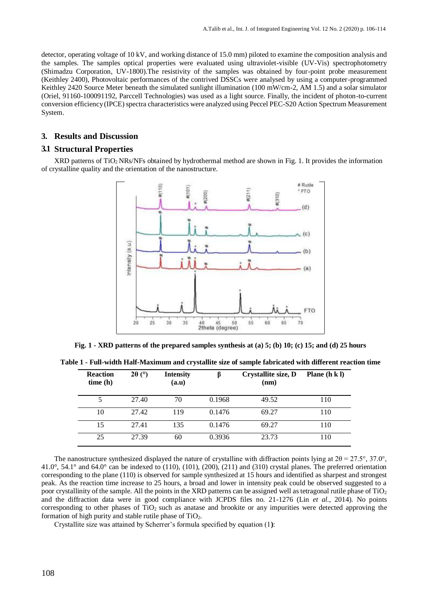detector, operating voltage of 10 kV, and working distance of 15.0 mm) piloted to examine the composition analysis and the samples. The samples optical properties were evaluated using ultraviolet-visible (UV-Vis) spectrophotometry (Shimadzu Corporation, UV-1800).The resistivity of the samples was obtained by four-point probe measurement (Keithley 2400), Photovoltaic performances of the contrived DSSCs were analysed by using a computer-programmed Keithley 2420 Source Meter beneath the simulated sunlight illumination (100 mW/cm-2, AM 1.5) and a solar simulator (Oriel, 91160-100091192, Parccell Technologies) was used as a light source. Finally, the incident of photon-to-current conversion efficiency (IPCE) spectra characteristics were analyzed using Peccel PEC-S20 Action Spectrum Measurement System.

# **3. Results and Discussion**

# **3.1 Structural Properties**

XRD patterns of TiO2 NRs/NFs obtained by hydrothermal method are shown in Fig. 1. It provides the information of crystalline quality and the orientation of the nanostructure.



**Fig. 1 - XRD patterns of the prepared samples synthesis at (a) 5; (b) 10; (c) 15; and (d) 25 hours** 

**Table 1 - Full-width Half-Maximum and crystallite size of sample fabricated with different reaction time**

| <b>Reaction</b><br>time(h) | $2\theta$ (°) | <b>Intensity</b><br>(a.u) |        | Crystallite size, D<br>(nm) | Plane $(h k)$ |
|----------------------------|---------------|---------------------------|--------|-----------------------------|---------------|
| 5                          | 27.40         | 70                        | 0.1968 | 49.52                       | 110           |
| 10                         | 27.42         | 119                       | 0.1476 | 69.27                       | 110           |
| 15                         | 27.41         | 135                       | 0.1476 | 69.27                       | 110           |
| 25                         | 27.39         | 60                        | 0.3936 | 23.73                       | 110           |

The nanostructure synthesized displayed the nature of crystalline with diffraction points lying at  $2\theta = 27.5^{\circ}$ , 37.0°, 41.0°, 54.1° and 64.0° can be indexed to (110), (101), (200), (211) and (310) crystal planes. The preferred orientation corresponding to the plane (110) is observed for sample synthesized at 15 hours and identified as sharpest and strongest peak. As the reaction time increase to 25 hours, a broad and lower in intensity peak could be observed suggested to a poor crystallinity of the sample. All the points in the XRD patterns can be assigned well as tetragonal rutile phase of  $TiO<sub>2</sub>$ and the diffraction data were in good compliance with JCPDS files no. 21-1276 (Lin *et al.*, 2014). No points corresponding to other phases of  $TiO<sub>2</sub>$  such as anatase and brookite or any impurities were detected approving the formation of high purity and stable rutile phase of TiO2.

Crystallite size was attained by Scherrer's formula specified by equation (1**)**: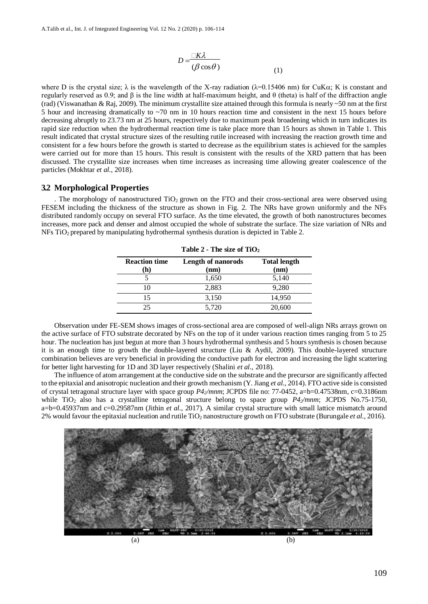$$
D = \frac{\Box K \lambda}{(\beta \cos \theta)} \tag{1}
$$

where D is the crystal size;  $\lambda$  is the wavelength of the X-ray radiation ( $\lambda$ =0.15406 nm) for CuK $\alpha$ ; K is constant and regularly reserved as 0.9; and β is the line width at half-maximum height, and θ (theta) is half of the diffraction angle (rad) (Viswanathan & Raj, 2009). The minimum crystallite size attained through this formula is nearly ~50 nm at the first 5 hour and increasing dramatically to ~70 nm in 10 hours reaction time and consistent in the next 15 hours before decreasing abruptly to 23.73 nm at 25 hours, respectively due to maximum peak broadening which in turn indicates its rapid size reduction when the hydrothermal reaction time is take place more than 15 hours as shown in Table 1. This result indicated that crystal structure sizes of the resulting rutile increased with increasing the reaction growth time and consistent for a few hours before the growth is started to decrease as the equilibrium states is achieved for the samples were carried out for more than 15 hours. This result is consistent with the results of the XRD pattern that has been discussed. The crystallite size increases when time increases as increasing time allowing greater coalescence of the particles (Mokhtar *et al.*, 2018).

#### **3.2 Morphological Properties**

. The morphology of nanostructured  $TiO<sub>2</sub>$  grown on the FTO and their cross-sectional area were observed using FESEM including the thickness of the structure as shown in Fig. 2. The NRs have grown uniformly and the NFs distributed randomly occupy on several FTO surface. As the time elevated, the growth of both nanostructures becomes increases, more pack and denser and almost occupied the whole of substrate the surface. The size variation of NRs and NFs TiO2 prepared by manipulating hydrothermal synthesis duration is depicted in Table 2.

| Table $2$ - The size of TiO <sub>2</sub> |                                   |                             |  |  |
|------------------------------------------|-----------------------------------|-----------------------------|--|--|
| <b>Reaction time</b><br>(h)              | <b>Length of nanorods</b><br>(nm) | <b>Total length</b><br>(nm) |  |  |
|                                          | 1,650                             | 5,140                       |  |  |
|                                          | 2,883                             | 9,280                       |  |  |
| 15                                       | 3,150                             | 14,950                      |  |  |
| つう                                       | 5,720                             | 20,600                      |  |  |

Observation under FE-SEM shows images of cross-sectional area are composed of well-align NRs arrays grown on the active surface of FTO substrate decorated by NFs on the top of it under various reaction times ranging from 5 to 25 hour. The nucleation has just begun at more than 3 hours hydrothermal synthesis and 5 hours synthesis is chosen because it is an enough time to growth the double-layered structure (Liu & Aydil, 2009). This double-layered structure combination believes are very beneficial in providing the conductive path for electron and increasing the light scattering for better light harvesting for 1D and 3D layer respectively (Shalini *et al.*, 2018).

The influence of atom arrangement at the conductive side on the substrate and the precursor are significantly affected to the epitaxial and anisotropic nucleation and their growth mechanism (Y. Jiang *et al.*, 2014). FTO active side is consisted of crystal tetragonal structure layer with space group *P42/mnm*; JCPDS file no: 77-0452, a=b=0.47538nm, c=0.3186nm while TiO<sub>2</sub> also has a crystalline tetragonal structure belong to space group  $P4<sub>2</sub>/mm$ ; JCPDS No.75-1750, a=b=0.45937nm and c=0.29587nm (Jithin *et al.*, 2017). A similar crystal structure with small lattice mismatch around 2% would favour the epitaxial nucleation and rutile TiO<sup>2</sup> nanostructure growth on FTO substrate (Burungale *et al.*, 2016).

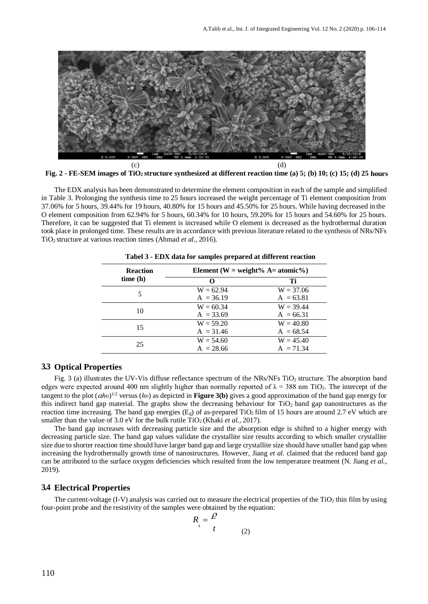

**Fig. 2 - FE-SEM images of TiO2 structure synthesized at different reaction time (a) 5; (b) 10; (c) 15; (d) 25 hours**

The EDX analysis has been demonstrated to determine the element composition in each of the sample and simplified in Table 3. Prolonging the synthesis time to 25 hours increased the weight percentage of Ti element composition from 37.06% for 5 hours, 39.44% for 19 hours, 40.80% for 15 hours and 45.50% for 25 hours. While having decreased in the O element composition from 62.94% for 5 hours, 60.34% for 10 hours, 59.20% for 15 hours and 54.60% for 25 hours. Therefore, it can be suggested that Ti element is increased while O element is decreased as the hydrothermal duration took place in prolonged time. These results are in accordance with previous literature related to the synthesis of NRs/NFs TiO2 structure at various reaction times (Ahmad *et al.*, 2016).

| <b>Reaction</b> | Element (W = weight% $A=atomic\%$ ) |             |  |
|-----------------|-------------------------------------|-------------|--|
| time(h)         | $\Omega$                            | Ti          |  |
|                 | $W = 62.94$                         | $W = 37.06$ |  |
|                 | $A = 36.19$                         | $A = 63.81$ |  |
| 10              | $W = 60.34$                         | $W = 39.44$ |  |
|                 | $A = 33.69$                         | $A = 66.31$ |  |
| 15              | $W = 59.20$                         | $W = 40.80$ |  |
|                 | $A = 31.46$                         | $A = 68.54$ |  |
| 25              | $W = 54.60$                         | $W = 45.40$ |  |
|                 | $A = 28.66$                         | $A = 71.34$ |  |

**Tabel 3 - EDX data for samples prepared at different reaction**

# **3.3 Optical Properties**

Fig. 3 (a) illustrates the UV-Vis diffuse reflectance spectrum of the NRs/NFs  $TiO<sub>2</sub>$  structure. The absorption band edges were expected around 400 nm slightly higher than normally reported of  $\lambda = 388$  nm TiO<sub>2</sub>. The intercept of the tangent to the plot (*hυ*) 1/2 versus (*hυ*) as depicted in **Figure 3(b)** gives a good approximation of the band gap energy for this indirect band gap material. The graphs show the decreasing behaviour for TiO<sub>2</sub> band gap nanostructures as the reaction time increasing. The band gap energies  $(E_g)$  of as-prepared TiO<sub>2</sub> film of 15 hours are around 2.7 eV which are smaller than the value of  $3.0 \text{ eV}$  for the bulk rutile TiO<sub>2</sub> (Khaki *et al.*, 2017).

The band gap increases with decreasing particle size and the absorption edge is shifted to a higher energy with decreasing particle size. The band gap values validate the crystallite size results according to which smaller crystallite size due to shorter reaction time should have larger band gap and large crystallite size should have smaller band gap when increasing the hydrothermally growth time of nanostructures. However, Jiang *et al.* claimed that the reduced band gap can be attributed to the surface oxygen deficiencies which resulted from the low temperature treatment (N. Jiang *et al.*, 2019).

### **3.4 Electrical Properties**

The current-voltage (I-V) analysis was carried out to measure the electrical properties of the  $TiO<sub>2</sub>$  thin film by using four-point probe and the resistivity of the samples were obtained by the equation:

$$
R_s = \frac{\rho}{t}
$$
 (2)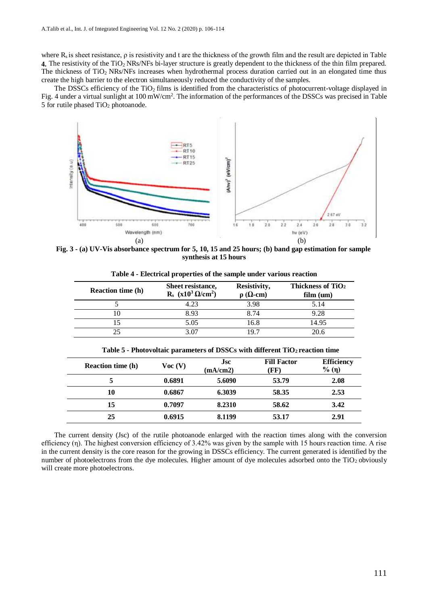where  $R_s$  is sheet resistance,  $\rho$  is resistivity and t are the thickness of the growth film and the result are depicted in Table **4.** The resistivity of the TiO2 NRs/NFs bi-layer structure is greatly dependent to the thickness of the thin film prepared. The thickness of TiO<sub>2</sub> NRs/NFs increases when hydrothermal process duration carried out in an elongated time thus create the high barrier to the electron simultaneously reduced the conductivity of the samples.

The DSSCs efficiency of the TiO<sub>2</sub> films is identified from the characteristics of photocurrent-voltage displayed in Fig. 4 under a virtual sunlight at 100 mW/cm<sup>2</sup>. The information of the performances of the DSSCs was precised in Table 5 for rutile phased  $TiO<sub>2</sub>$  photoanode.



**Fig. 3 - (a) UV-Vis absorbance spectrum for 5, 10, 15 and 25 hours; (b) band gap estimation for sample synthesis at 15 hours**

| <b>Reaction time (h)</b> | Sheet resistance,<br>$R_s$ (x10 <sup>3</sup> $\Omega$ /cm <sup>2</sup> ) | Resistivity,<br>$\rho$ ( $\Omega$ -cm) | Thickness of TiO <sub>2</sub><br>film (um) |
|--------------------------|--------------------------------------------------------------------------|----------------------------------------|--------------------------------------------|
|                          | 4.23                                                                     | 3.98                                   | 5.14                                       |
|                          | 8.93                                                                     | 8.74                                   | 9.28                                       |
|                          | 5.05                                                                     | 16.8                                   | 14.95                                      |
|                          | 3.OZ                                                                     | 19 7                                   |                                            |

**Table 4 - Electrical properties of the sample under various reaction**

| Table 5 - Photovoltaic parameters of DSSCs with different TiO <sub>2</sub> reaction time |                |                        |                            |                            |
|------------------------------------------------------------------------------------------|----------------|------------------------|----------------------------|----------------------------|
| <b>Reaction time (h)</b>                                                                 | $\bf{Vec}$ (V) | <b>Jsc</b><br>(mA/cm2) | <b>Fill Factor</b><br>(FF) | <b>Efficiency</b><br>% (n) |
|                                                                                          | 0.6891         | 5.6090                 | 53.79                      | 2.08                       |
| 10                                                                                       | 0.6867         | 6.3039                 | 58.35                      | 2.53                       |
| 15                                                                                       | 0.7097         | 8.2310                 | 58.62                      | 3.42                       |

The current density (Jsc) of the rutile photoanode enlarged with the reaction times along with the conversion efficiency (η). The highest conversion efficiency of 3.42% was given by the sample with 15 hours reaction time. A rise in the current density is the core reason for the growing in DSSCs efficiency. The current generated is identified by the number of photoelectrons from the dye molecules. Higher amount of dye molecules adsorbed onto the  $TiO<sub>2</sub>$  obviously will create more photoelectrons.

**25 0.6915 8.1199 53.17 2.91**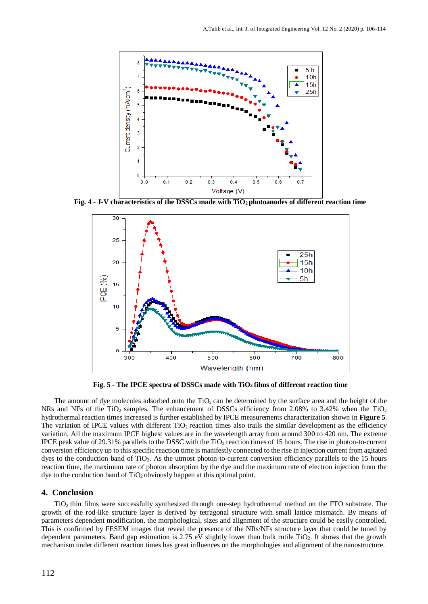

**Fig. 4 - J-V characteristics of the DSSCs made with TiO2 photoanodes of different reaction time**



**Fig. 5 - The IPCE spectra of DSSCs made with TiO2 films of different reaction time**

The amount of dye molecules adsorbed onto the  $TiO<sub>2</sub>$  can be determined by the surface area and the height of the NRs and NFs of the TiO<sub>2</sub> samples. The enhancement of DSSCs efficiency from 2.08% to 3.42% when the TiO<sub>2</sub> hydrothermal reaction times increased is further established by IPCE measurements characterization shown in **Figure 5**. The variation of IPCE values with different  $TiO<sub>2</sub>$  reaction times also trails the similar development as the efficiency variation. All the maximum IPCE highest values are in the wavelength array from around 300 to 420 nm. The extreme IPCE peak value of 29.31% parallels to the DSSC with the  $TiO<sub>2</sub>$  reaction times of 15 hours. The rise in photon-to-current conversion efficiency up to thisspecific reaction time is manifestly connected to the rise in injection current from agitated dyes to the conduction band of TiO<sub>2</sub>. As the utmost photon-to-current conversion efficiency parallels to the 15 hours reaction time, the maximum rate of photon absorption by the dye and the maximum rate of electron injection from the dye to the conduction band of  $TiO<sub>2</sub>$  obviously happen at this optimal point.

#### **4. Conclusion**

TiO2 thin films were successfully synthesized through one-step hydrothermal method on the FTO substrate. The growth of the rod-like structure layer is derived by tetragonal structure with small lattice mismatch. By means of parameters dependent modification, the morphological, sizes and alignment of the structure could be easily controlled. This is confirmed by FESEM images that reveal the presence of the NRs/NFs structure layer that could be tuned by dependent parameters. Band gap estimation is 2.75 eV slightly lower than bulk rutile  $TiO<sub>2</sub>$ . It shows that the growth mechanism under different reaction times has great influences on the morphologies and alignment of the nanostructure.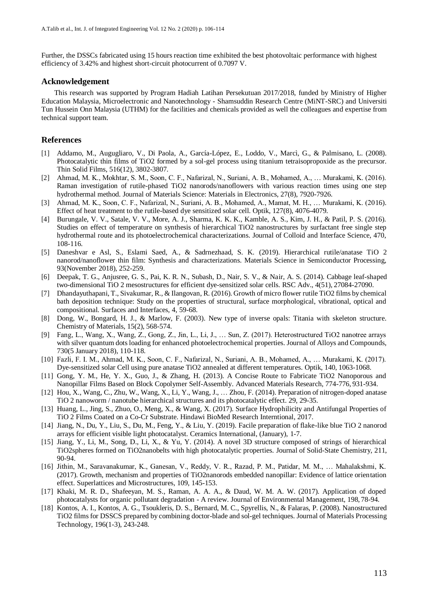Further, the DSSCs fabricated using 15 hours reaction time exhibited the best photovoltaic performance with highest efficiency of 3.42% and highest short-circuit photocurrent of 0.7097 V.

#### **Acknowledgement**

This research was supported by Program Hadiah Latihan Persekutuan 2017/2018, funded by Ministry of Higher Education Malaysia, Microelectronic and Nanotechnology - Shamsuddin Research Centre (MiNT-SRC) and Universiti Tun Hussein Onn Malaysia (UTHM) for the facilities and chemicals provided as well the colleagues and expertise from technical support team.

## **References**

- [1] Addamo, M., Augugliaro, V., Di Paola, A., García-López, E., Loddo, V., Marcì, G., & Palmisano, L. (2008). Photocatalytic thin films of TiO2 formed by a sol-gel process using titanium tetraisopropoxide as the precursor. Thin Solid Films, 516(12), 3802-3807.
- [2] Ahmad, M. K., Mokhtar, S. M., Soon, C. F., Nafarizal, N., Suriani, A. B., Mohamed, A., … Murakami, K. (2016). Raman investigation of rutile-phased TiO2 nanorods/nanoflowers with various reaction times using one step hydrothermal method. Journal of Materials Science: Materials in Electronics, 27(8), 7920-7926.
- [3] Ahmad, M. K., Soon, C. F., Nafarizal, N., Suriani, A. B., Mohamed, A., Mamat, M. H., … Murakami, K. (2016). Effect of heat treatment to the rutile-based dye sensitized solar cell. Optik, 127(8), 4076-4079.
- [4] Burungale, V. V., Satale, V. V., More, A. J., Sharma, K. K. K., Kamble, A. S., Kim, J. H., & Patil, P. S. (2016). Studies on effect of temperature on synthesis of hierarchical TiO2 nanostructures by surfactant free single step hydrothermal route and its photoelectrochemical characterizations. Journal of Colloid and Interface Science, 470, 108-116.
- [5] Daneshvar e Asl, S., Eslami Saed, A., & Sadrnezhaad, S. K. (2019). Hierarchical rutile/anatase TiO 2 nanorod/nanoflower thin film: Synthesis and characterizations. Materials Science in Semiconductor Processing, 93(November 2018), 252-259.
- [6] Deepak, T. G., Anjusree, G. S., Pai, K. R. N., Subash, D., Nair, S. V., & Nair, A. S. (2014). Cabbage leaf-shaped two-dimensional TiO 2 mesostructures for efficient dye-sensitized solar cells. RSC Adv., 4(51), 27084-27090.
- [7] Dhandayuthapani, T., Sivakumar, R., & Ilangovan, R. (2016). Growth of micro flower rutile TiO2 films by chemical bath deposition technique: Study on the properties of structural, surface morphological, vibrational, optical and compositional. Surfaces and Interfaces, 4, 59-68.
- [8] Dong, W., Bongard, H. J., & Marlow, F. (2003). New type of inverse opals: Titania with skeleton structure. Chemistry of Materials, 15(2), 568-574.
- [9] Fang, L., Wang, X., Wang, Z., Gong, Z., Jin, L., Li, J., … Sun, Z. (2017). Heterostructured TiO2 nanotree arrays with silver quantum dots loading for enhanced photoelectrochemical properties. Journal of Alloys and Compounds, 730(5 January 2018), 110-118.
- [10] Fazli, F. I. M., Ahmad, M. K., Soon, C. F., Nafarizal, N., Suriani, A. B., Mohamed, A., … Murakami, K. (2017). Dye-sensitized solar Cell using pure anatase TiO2 annealed at different temperatures. Optik, 140, 1063-1068.
- [11] Gong, Y. M., He, Y. X., Guo, J., & Zhang, H. (2013). A Concise Route to Fabricate TiO2 Nanoporous and Nanopillar Films Based on Block Copolymer Self-Assembly. Advanced Materials Research, 774-776, 931-934.
- [12] Hou, X., Wang, C., Zhu, W., Wang, X., Li, Y., Wang, J., … Zhou, F. (2014). Preparation of nitrogen-doped anatase TiO 2 nanoworm / nanotube hierarchical structures and its photocatalytic effect. 29, 29-35.
- [13] Huang, L., Jing, S., Zhuo, O., Meng, X., & Wang, X. (2017). Surface Hydrophilicity and Antifungal Properties of TiO 2 Films Coated on a Co-Cr Substrate. Hindawi BioMed Research Interntional, 2017.
- [14] Jiang, N., Du, Y., Liu, S., Du, M., Feng, Y., & Liu, Y. (2019). Facile preparation of flake-like blue TiO 2 nanorod arrays for efficient visible light photocatalyst. Ceramics International, (January), 1-7.
- [15] Jiang, Y., Li, M., Song, D., Li, X., & Yu, Y. (2014). A novel 3D structure composed of strings of hierarchical TiO2spheres formed on TiO2nanobelts with high photocatalytic properties. Journal of Solid-State Chemistry, 211, 90-94.
- [16] Jithin, M., Saravanakumar, K., Ganesan, V., Reddy, V. R., Razad, P. M., Patidar, M. M., … Mahalakshmi, K. (2017). Growth, mechanism and properties of TiO2nanorods embedded nanopillar: Evidence of lattice orientation effect. Superlattices and Microstructures, 109, 145-153.
- [17] Khaki, M. R. D., Shafeeyan, M. S., Raman, A. A. A., & Daud, W. M. A. W. (2017). Application of doped photocatalysts for organic pollutant degradation - A review. Journal of Environmental Management, 198, 78-94.
- [18] Kontos, A. I., Kontos, A. G., Tsoukleris, D. S., Bernard, M. C., Spyrellis, N., & Falaras, P. (2008). Nanostructured TiO2 films for DSSCS prepared by combining doctor-blade and sol-gel techniques. Journal of Materials Processing Technology, 196(1-3), 243-248.